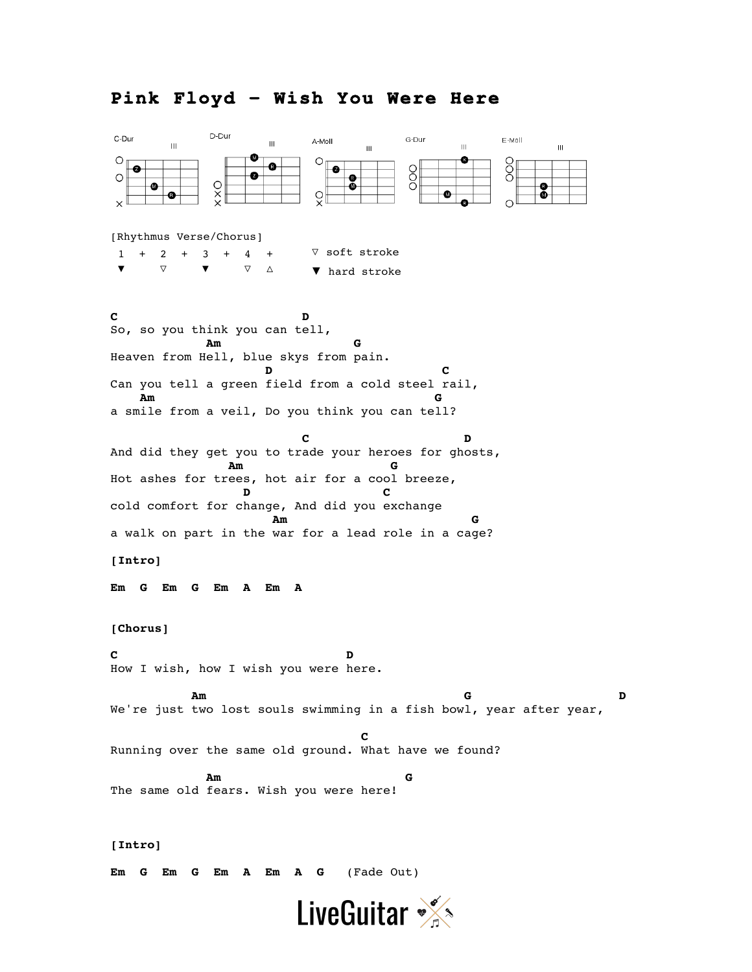## **Pink Floyd – Wish You Were Here**



**Em G Em G Em A Em A G** (Fade Out)